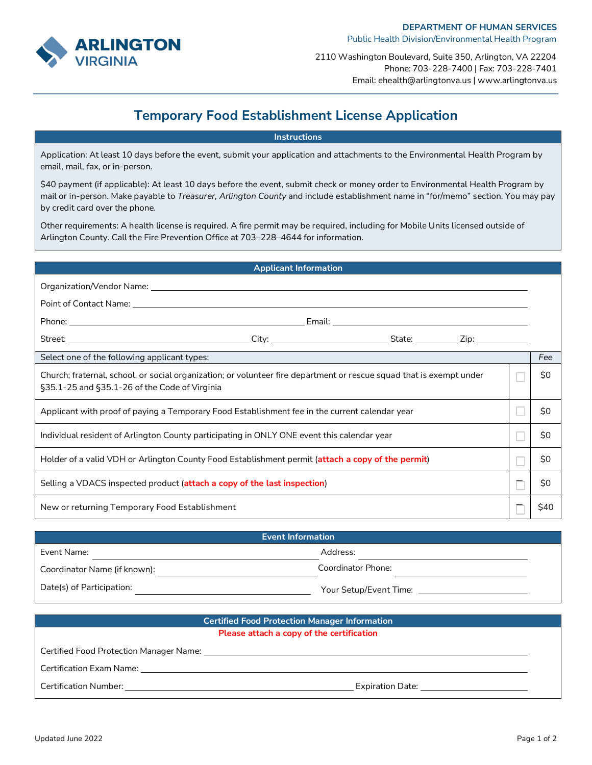

2110 Washington Boulevard, Suite 350, Arlington, VA 22204 Phone: 703-228-7400 | Fax: 703-228-7401 Email: ehealth@arlingtonva.us | www.arlingtonva.us

## **Temporary Food Establishment License Application**

## **Instructions**

Application: At least 10 days before the event, submit your application and attachments to the Environmental Health Program by email, mail, fax, or in-person.

\$40 payment (if applicable): At least 10 days before the event, submit check or money order to Environmental Health Program by mail or in-person. Make payable to *Treasurer, Arlington County* and include establishment name in "for/memo" section. You may pay by credit card over the phone.

Other requirements: A health license is required. A fire permit may be required, including for Mobile Units licensed outside of Arlington County. Call the Fire Prevention Office at 703–228–4644 for information.

|                                                                                                                                                                                                                                      | <b>Applicant Information</b> |  |      |     |
|--------------------------------------------------------------------------------------------------------------------------------------------------------------------------------------------------------------------------------------|------------------------------|--|------|-----|
|                                                                                                                                                                                                                                      |                              |  |      |     |
| Point of Contact Name: <u>Contact Of Contact Of Contact Of Contact Of Contact Of Contact Of Contact Of Contact Of Contact Of Contact Of Contact Of Contact Of Contact Of Contact Of Contact Of Contact Of Contact Of Contact Of </u> |                              |  |      |     |
|                                                                                                                                                                                                                                      |                              |  |      |     |
|                                                                                                                                                                                                                                      |                              |  |      |     |
| Select one of the following applicant types:                                                                                                                                                                                         |                              |  |      | Fee |
| Church; fraternal, school, or social organization; or volunteer fire department or rescue squad that is exempt under<br>§35.1-25 and §35.1-26 of the Code of Virginia                                                                |                              |  | \$0  |     |
| Applicant with proof of paying a Temporary Food Establishment fee in the current calendar year                                                                                                                                       |                              |  | \$0  |     |
| Individual resident of Arlington County participating in ONLY ONE event this calendar year                                                                                                                                           |                              |  | \$0  |     |
| Holder of a valid VDH or Arlington County Food Establishment permit (attach a copy of the permit)                                                                                                                                    |                              |  | \$0  |     |
| Selling a VDACS inspected product (attach a copy of the last inspection)                                                                                                                                                             |                              |  | \$0  |     |
| New or returning Temporary Food Establishment                                                                                                                                                                                        |                              |  | \$40 |     |

| <b>Event Information</b>     |                        |  |  |
|------------------------------|------------------------|--|--|
| Event Name:                  | Address:               |  |  |
| Coordinator Name (if known): | Coordinator Phone:     |  |  |
| Date(s) of Participation:    | Your Setup/Event Time: |  |  |

| <b>Certified Food Protection Manager Information</b> |                  |  |  |
|------------------------------------------------------|------------------|--|--|
| Please attach a copy of the certification            |                  |  |  |
|                                                      |                  |  |  |
| Certification Exam Name:                             |                  |  |  |
| Certification Number:                                | Expiration Date: |  |  |